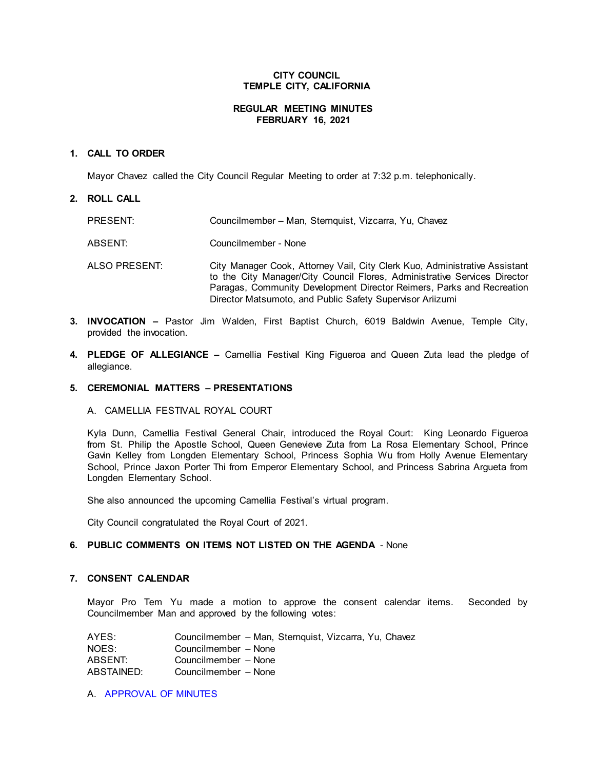## **CITY COUNCIL TEMPLE CITY, CALIFORNIA**

## **REGULAR MEETING MINUTES FEBRUARY 16, 2021**

## **1. CALL TO ORDER**

Mayor Chavez called the City Council Regular Meeting to order at 7:32 p.m. telephonically.

## **2. ROLL CALL**

| PRESENT:      | Councilmember - Man, Sternquist, Vizcarra, Yu, Chavez                                                                                                                                                                                                                                         |
|---------------|-----------------------------------------------------------------------------------------------------------------------------------------------------------------------------------------------------------------------------------------------------------------------------------------------|
| ABSENT:       | Councilmember - None                                                                                                                                                                                                                                                                          |
| ALSO PRESENT: | City Manager Cook, Attorney Vail, City Clerk Kuo, Administrative Assistant<br>to the City Manager/City Council Flores, Administrative Services Director<br>Paragas, Community Development Director Reimers, Parks and Recreation<br>Director Matsumoto, and Public Safety Supervisor Ariizumi |

- **3. INVOCATION –** Pastor Jim Walden, First Baptist Church, 6019 Baldwin Avenue, Temple City, provided the invocation.
- **4. PLEDGE OF ALLEGIANCE –** Camellia Festival King Figueroa and Queen Zuta lead the pledge of allegiance.

#### **5. CEREMONIAL MATTERS – PRESENTATIONS**

#### A. CAMELLIA FESTIVAL ROYAL COURT

Kyla Dunn, Camellia Festival General Chair, introduced the Royal Court: King Leonardo Figueroa from St. Philip the Apostle School, Queen Genevieve Zuta from La Rosa Elementary School, Prince Gavin Kelley from Longden Elementary School, Princess Sophia Wu from Holly Avenue Elementary School, Prince Jaxon Porter Thi from Emperor Elementary School, and Princess Sabrina Argueta from Longden Elementary School.

She also announced the upcoming Camellia Festival's virtual program.

City Council congratulated the Royal Court of 2021.

# **6. PUBLIC COMMENTS ON ITEMS NOT LISTED ON THE AGENDA** - None

## **7. CONSENT CALENDAR**

Mayor Pro Tem Yu made a motion to approve the consent calendar items. Seconded by Councilmember Man and approved by the following votes:

| AYES:      | Councilmember – Man, Sternguist, Vizcarra, Yu, Chavez |
|------------|-------------------------------------------------------|
| NOES:      | Councilmember - None                                  |
| ABSENT:    | Councilmember - None                                  |
| ABSTAINED: | Councilmember - None                                  |

A. [APPROVAL](https://ca-templecity.civicplus.com/DocumentCenter/View/15786/7A_CCM---2021-02-02) OF MINUTES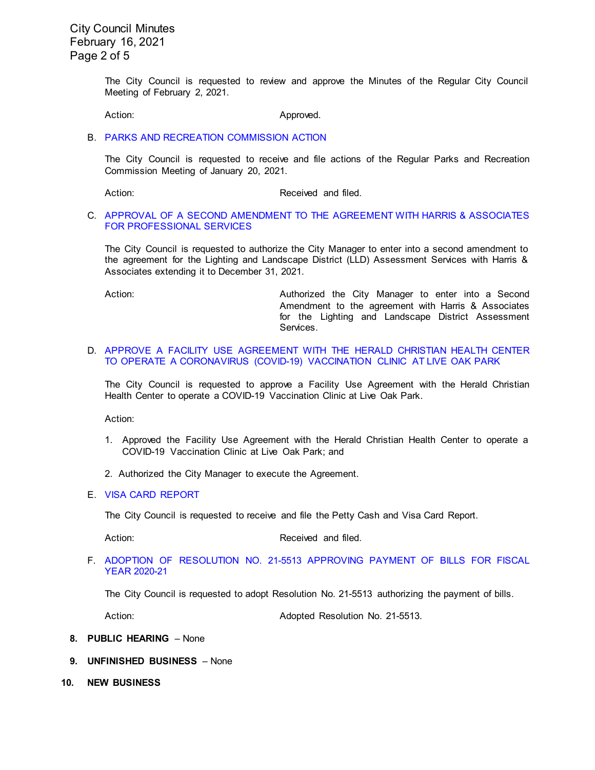City Council Minutes February 16, 2021 Page 2 of 5

> The City Council is requested to review and approve the Minutes of the Regular City Council Meeting of February 2, 2021.

Action: Approved.

B. [PARKS AND RECREATION COMMISSION ACTION](https://ca-templecity.civicplus.com/DocumentCenter/View/15787/7B_PRC-Regular-Meeting-Actions_Staff-Report-2021-2-1)

The City Council is requested to receive and file actions of the Regular Parks and Recreation Commission Meeting of January 20, 2021.

Action: Received and filed.

### C. APPROVAL OF A SECOND [AMENDMENT TO THE AGREEMENT WITH HARRIS &](https://ca-templecity.civicplus.com/DocumentCenter/View/15788/7C_Harris-and-Associates_Staff-Report-Second-Amendment-Harris-Extension-Final-w-attachment) ASSOCIATES [FOR PROFESSIONAL SERVICES](https://ca-templecity.civicplus.com/DocumentCenter/View/15788/7C_Harris-and-Associates_Staff-Report-Second-Amendment-Harris-Extension-Final-w-attachment)

The City Council is requested to authorize the City Manager to enter into a second amendment to the agreement for the Lighting and Landscape District (LLD) Assessment Services with Harris & Associates extending it to December 31, 2021.

Action: Authorized the City Manager to enter into a Second Amendment to the agreement with Harris & Associates for the Lighting and Landscape District Assessment Services.

### D. [APPROVE A FACILITY USE AGREEMENT WITH THE HERALD CHRISTIAN HEALTH CENTER](https://ca-templecity.civicplus.com/DocumentCenter/View/15789/7D_COVID-Clinic_Staff-Report-_final-w-attachment-B)  [TO OPERATE A CORONAVIRUS \(COVID-19\) VACCINATION CLINIC AT LIVE OAK PARK](https://ca-templecity.civicplus.com/DocumentCenter/View/15789/7D_COVID-Clinic_Staff-Report-_final-w-attachment-B)

The City Council is requested to approve a Facility Use Agreement with the Herald Christian Health Center to operate a COVID-19 Vaccination Clinic at Live Oak Park.

Action:

- 1. Approved the Facility Use Agreement with the Herald Christian Health Center to operate a COVID-19 Vaccination Clinic at Live Oak Park; and
- 2. Authorized the City Manager to execute the Agreement.
- E. [VISA CARD REPORT](https://ca-templecity.civicplus.com/DocumentCenter/View/15790/7E_Visa-Card-Report-2-16-21)

The City Council is requested to receive and file the Petty Cash and Visa Card Report.

Action: Received and filed.

F. ADOPTION OF RESOLUTION NO. 21-5513 [APPROVING PAYMENT OF BILLS FOR FISCAL](https://ca-templecity.civicplus.com/DocumentCenter/View/15791/7F_Council-Warrants_Reso-No-21-5513_final-w-attachment)  [YEAR 2020-21](https://ca-templecity.civicplus.com/DocumentCenter/View/15791/7F_Council-Warrants_Reso-No-21-5513_final-w-attachment)

The City Council is requested to adopt Resolution No. 21-5513 authorizing the payment of bills.

Action: Adopted Resolution No. 21-5513.

- **8. PUBLIC HEARING**  None
- **9. UNFINISHED BUSINESS** None
- **10. NEW BUSINESS**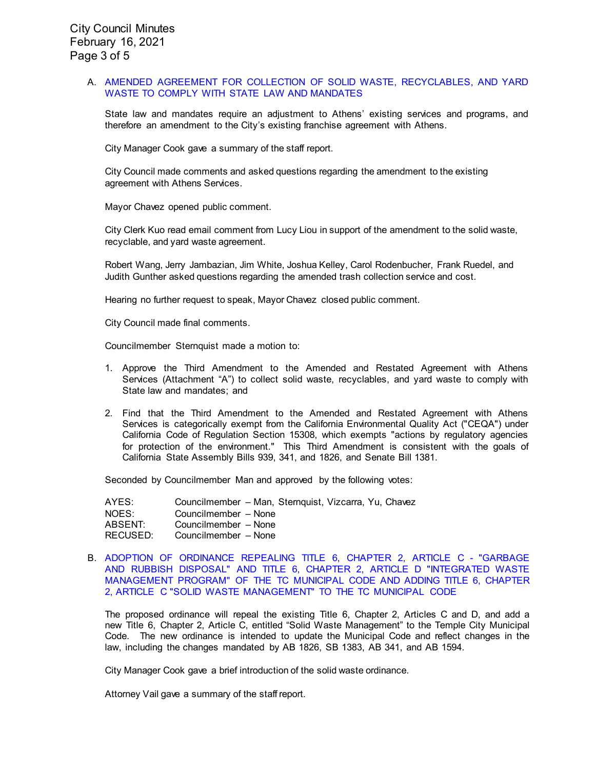### A. [AMENDED AGREEMENT FOR COLLECTION OF SOLID WASTE, RECYCLABLES, AND YARD](https://ca-templecity.civicplus.com/DocumentCenter/View/15792/10A_Athens_Third-Amended-and-Restated-Agreement-with-Athens_Staff-Report-Final-w-attachments)  [WASTE TO COMPLY WITH STATE LAW AND MANDATES](https://ca-templecity.civicplus.com/DocumentCenter/View/15792/10A_Athens_Third-Amended-and-Restated-Agreement-with-Athens_Staff-Report-Final-w-attachments)

State law and mandates require an adjustment to Athens' existing services and programs, and therefore an amendment to the City's existing franchise agreement with Athens.

City Manager Cook gave a summary of the staff report.

City Council made comments and asked questions regarding the amendment to the existing agreement with Athens Services.

Mayor Chavez opened public comment.

City Clerk Kuo read email comment from Lucy Liou in support of the amendment to the solid waste, recyclable, and yard waste agreement.

Robert Wang, Jerry Jambazian, Jim White, Joshua Kelley, Carol Rodenbucher, Frank Ruedel, and Judith Gunther asked questions regarding the amended trash collection service and cost.

Hearing no further request to speak, Mayor Chavez closed public comment.

City Council made final comments.

Councilmember Sternquist made a motion to:

- 1. Approve the Third Amendment to the Amended and Restated Agreement with Athens Services (Attachment "A") to collect solid waste, recyclables, and yard waste to comply with State law and mandates; and
- 2. Find that the Third Amendment to the Amended and Restated Agreement with Athens Services is categorically exempt from the California Environmental Quality Act ("CEQA") under California Code of Regulation Section 15308, which exempts "actions by regulatory agencies for protection of the environment." This Third Amendment is consistent with the goals of California State Assembly Bills 939, 341, and 1826, and Senate Bill 1381.

Seconded by Councilmember Man and approved by the following votes:

| AYES:    | Councilmember – Man, Sternguist, Vizcarra, Yu, Chavez |
|----------|-------------------------------------------------------|
| NOES:    | Councilmember - None                                  |
| ABSENT:  | Councilmember - None                                  |
| RECUSED: | Councilmember - None                                  |

### B. [ADOPTION OF ORDINANCE REPEALING TITLE 6, CHAPTER 2, ARTICLE C](https://ca-templecity.civicplus.com/DocumentCenter/View/15793/10B_Waste-Management-Ordinance-No-21-1053_Staff-Report_w-attachment) - "GARBAGE [AND RUBBISH DISPOSAL" AND TITLE 6, CHAPTER 2, ARTICLE D "INTEGRATED WASTE](https://ca-templecity.civicplus.com/DocumentCenter/View/15793/10B_Waste-Management-Ordinance-No-21-1053_Staff-Report_w-attachment)  [MANAGEMENT PROGRAM" OF THE TC MUNICIPAL CODE AND ADDING TITLE 6, CHAPTER](https://ca-templecity.civicplus.com/DocumentCenter/View/15793/10B_Waste-Management-Ordinance-No-21-1053_Staff-Report_w-attachment)  [2, ARTICLE C "SOLID WASTE MANAGEMENT" TO THE TC MUNICIPAL CODE](https://ca-templecity.civicplus.com/DocumentCenter/View/15793/10B_Waste-Management-Ordinance-No-21-1053_Staff-Report_w-attachment)

The proposed ordinance will repeal the existing Title 6, Chapter 2, Articles C and D, and add a new Title 6, Chapter 2, Article C, entitled "Solid Waste Management" to the Temple City Municipal Code. The new ordinance is intended to update the Municipal Code and reflect changes in the law, including the changes mandated by AB 1826, SB 1383, AB 341, and AB 1594.

City Manager Cook gave a brief introduction of the solid waste ordinance.

Attorney Vail gave a summary of the staff report.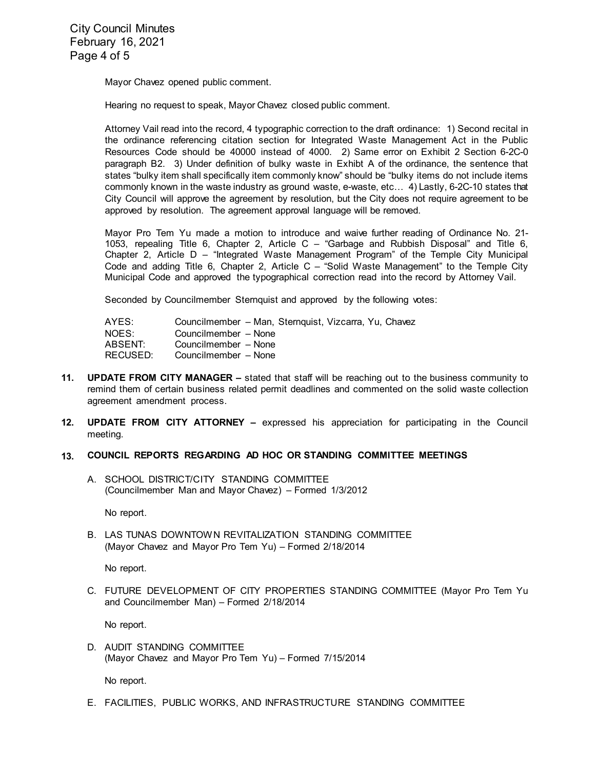City Council Minutes February 16, 2021 Page 4 of 5

Mayor Chavez opened public comment.

Hearing no request to speak, Mayor Chavez closed public comment.

Attorney Vail read into the record, 4 typographic correction to the draft ordinance: 1) Second recital in the ordinance referencing citation section for Integrated Waste Management Act in the Public Resources Code should be 40000 instead of 4000. 2) Same error on Exhibit 2 Section 6-2C-0 paragraph B2. 3) Under definition of bulky waste in Exhibt A of the ordinance, the sentence that states "bulky item shall specifically item commonly know" should be "bulky items do not include items commonly known in the waste industry as ground waste, e-waste, etc… 4) Lastly, 6-2C-10 states that City Council will approve the agreement by resolution, but the City does not require agreement to be approved by resolution. The agreement approval language will be removed.

Mayor Pro Tem Yu made a motion to introduce and waive further reading of Ordinance No. 21- 1053, repealing Title 6, Chapter 2, Article C – "Garbage and Rubbish Disposal" and Title 6, Chapter 2, Article D – "Integrated Waste Management Program" of the Temple City Municipal Code and adding Title 6, Chapter 2, Article C – "Solid Waste Management" to the Temple City Municipal Code and approved the typographical correction read into the record by Attorney Vail.

Seconded by Councilmember Sternquist and approved by the following votes:

| AYES:    | Councilmember - Man, Sternquist, Vizcarra, Yu, Chavez |
|----------|-------------------------------------------------------|
| NOES:    | Councilmember - None                                  |
| ABSENT:  | Councilmember - None                                  |
| RECUSED: | Councilmember - None                                  |

- **11. UPDATE FROM CITY MANAGER –** stated that staff will be reaching out to the business community to remind them of certain business related permit deadlines and commented on the solid waste collection agreement amendment process.
- **12. UPDATE FROM CITY ATTORNEY –** expressed his appreciation for participating in the Council meeting.

## **13. COUNCIL REPORTS REGARDING AD HOC OR STANDING COMMITTEE MEETINGS**

A. SCHOOL DISTRICT/CITY STANDING COMMITTEE (Councilmember Man and Mayor Chavez) – Formed 1/3/2012

No report.

B. LAS TUNAS DOWNTOWN REVITALIZATION STANDING COMMITTEE (Mayor Chavez and Mayor Pro Tem Yu) – Formed 2/18/2014

No report.

C. FUTURE DEVELOPMENT OF CITY PROPERTIES STANDING COMMITTEE (Mayor Pro Tem Yu and Councilmember Man) – Formed 2/18/2014

No report.

D. AUDIT STANDING COMMITTEE (Mayor Chavez and Mayor Pro Tem Yu) – Formed 7/15/2014

No report.

E. FACILITIES, PUBLIC WORKS, AND INFRASTRUCTURE STANDING COMMITTEE